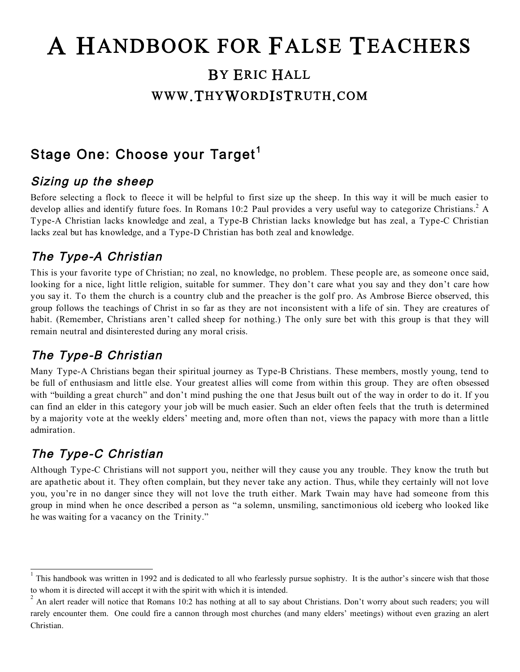# A HANDBOOK FOR FALSE TEACHERS BY ERIC HALL WWW.THYWORDISTRUTH.COM

### Stage One: Choose your Target $^{\mathsf{1}}$

#### Sizing up the sheep

Before selecting a flock to fleece it will be helpful to first size up the sheep. In this way it will be much easier to develop allies and identify future foes. In Romans 10:2 Paul provides a very useful way to categorize Christians.<sup>2</sup> A Type-A Christian lacks knowledge and zeal, a Type-B Christian lacks knowledge but has zeal, a Type-C Christian lacks zeal but has knowledge, and a Type-D Christian has both zeal and knowledge.

#### The Type-A Christian

This is your favorite type of Christian; no zeal, no knowledge, no problem. These people are, as someone once said, looking for a nice, light little religion, suitable for summer. They don't care what you say and they don't care how you say it. To them the church is a country club and the preacher is the golf pro. As Ambrose Bierce observed, this group follows the teachings of Christ in so far as they are not inconsistent with a life of sin. They are creatures of habit. (Remember, Christians aren't called sheep for nothing.) The only sure bet with this group is that they will remain neutral and disinterested during any moral crisis.

### The Type-B Christian

Many Type-A Christians began their spiritual journey as Type-B Christians. These members, mostly young, tend to be full of enthusiasm and little else. Your greatest allies will come from within this group. They are often obsessed with "building a great church" and don't mind pushing the one that Jesus built out of the way in order to do it. If you can find an elder in this category your job will be much easier. Such an elder often feels that the truth is determined by a majority vote at the weekly elders' meeting and, more often than not, views the papacy with more than a little admiration.

### The Type-C Christian

Although Type-C Christians will not support you, neither will they cause you any trouble. They know the truth but are apathetic about it. They often complain, but they never take any action. Thus, while they certainly will not love you, you're in no danger since they will not love the truth either. Mark Twain may have had someone from this group in mind when he once described a person as "a solemn, unsmiling, sanctimonious old iceberg who looked like he was waiting for a vacancy on the Trinity."

 $\frac{1}{1}$ This handbook was written in 1992 and is dedicated to all who fearlessly pursue sophistry. It is the author's sincere wish that those to whom it is directed will accept it with the spirit with which it is intended.

 $^2$  An alert reader will notice that Romans 10:2 has nothing at all to say about Christians. Don't worry about such readers; you will rarely encounter them. One could fire a cannon through most churches (and many elders' meetings) without even grazing an alert Christian.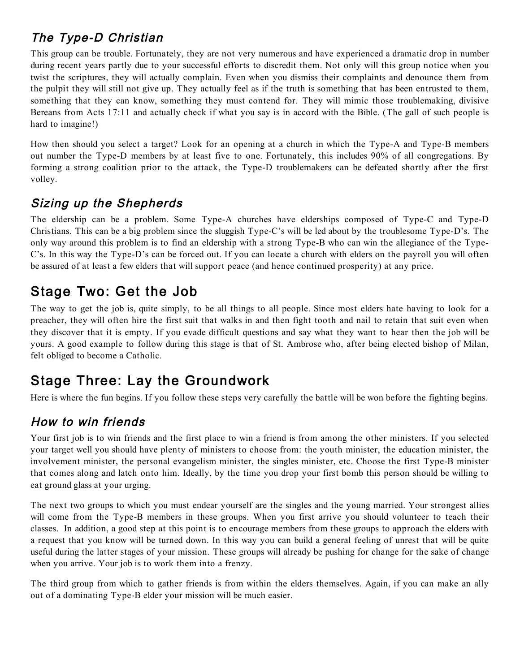### The Type-D Christian

This group can be trouble. Fortunately, they are not very numerous and have experienced a dramatic drop in number during recent years partly due to your successful efforts to discredit them. Not only will this group notice when you twist the scriptures, they will actually complain. Even when you dismiss their complaints and denounce them from the pulpit they will still not give up. They actually feel as if the truth is something that has been entrusted to them, something that they can know, something they must contend for. They will mimic those troublemaking, divisive Bereans from Acts 17:11 and actually check if what you say is in accord with the Bible. (The gall of such people is hard to imagine!)

How then should you select a target? Look for an opening at a church in which the Type-A and Type-B members out number the Type-D members by at least five to one. Fortunately, this includes 90% of all congregations. By forming a strong coalition prior to the attack, the Type-D troublemakers can be defeated shortly after the first volley.

#### Sizing up the Shepherds

The eldership can be a problem. Some Type-A churches have elderships composed of Type-C and Type-D Christians. This can be a big problem since the sluggish Type-C's will be led about by the troublesome Type-D's. The only way around this problem is to find an eldership with a strong Type-B who can win the allegiance of the Type-C's. In this way the Type-D's can be forced out. If you can locate a church with elders on the payroll you will often be assured of at least a few elders that will support peace (and hence continued prosperity) at any price.

### Stage Two: Get the Job

The way to get the job is, quite simply, to be all things to all people. Since most elders hate having to look for a preacher, they will often hire the first suit that walks in and then fight tooth and nail to retain that suit even when they discover that it is empty. If you evade difficult questions and say what they want to hear then the job will be yours. A good example to follow during this stage is that of St. Ambrose who, after being elected bishop of Milan, felt obliged to become a Catholic.

### Stage Three: Lay the Groundwork

Here is where the fun begins. If you follow these steps very carefully the battle will be won before the fighting begins.

### How to win friends

Your first job is to win friends and the first place to win a friend is from among the other ministers. If you selected your target well you should have plenty of ministers to choose from: the youth minister, the education minister, the involvement minister, the personal evangelism minister, the singles minister, etc. Choose the first Type-B minister that comes along and latch onto him. Ideally, by the time you drop your first bomb this person should be willing to eat ground glass at your urging.

The next two groups to which you must endear yourself are the singles and the young married. Your strongest allies will come from the Type-B members in these groups. When you first arrive you should volunteer to teach their classes. In addition, a good step at this point is to encourage members from these groups to approach the elders with a request that you know will be turned down. In this way you can build a general feeling of unrest that will be quite useful during the latter stages of your mission. These groups will already be pushing for change for the sake of change when you arrive. Your job is to work them into a frenzy.

The third group from which to gather friends is from within the elders themselves. Again, if you can make an ally out of a dominating Type-B elder your mission will be much easier.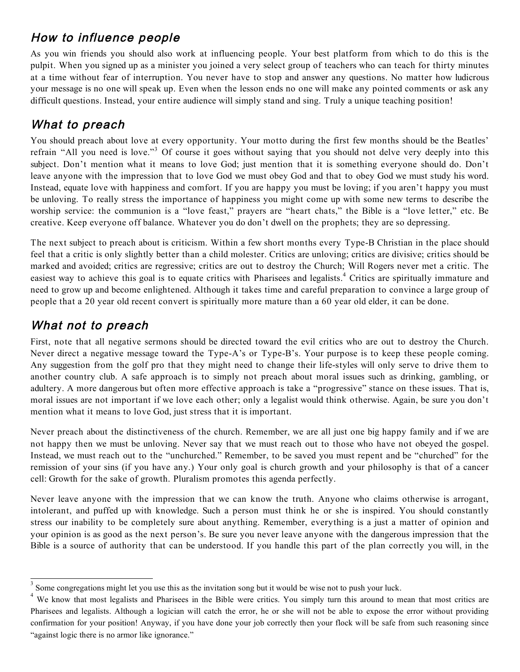### How to influence people

As you win friends you should also work at influencing people. Your best platform from which to do this is the pulpit. When you signed up as a minister you joined a very select group of teachers who can teach for thirty minutes at a time without fear of interruption. You never have to stop and answer any questions. No matter how ludicrous your message is no one will speak up. Even when the lesson ends no one will make any pointed comments or ask any difficult questions. Instead, your entire audience will simply stand and sing. Truly a unique teaching position!

### What to preach

You should preach about love at every opportunity. Your motto during the first few months should be the Beatles' refrain "All you need is love."<sup>3</sup> Of course it goes without saying that you should not delve very deeply into this subject. Don't mention what it means to love God; just mention that it is something everyone should do. Don't leave anyone with the impression that to love God we must obey God and that to obey God we must study his word. Instead, equate love with happiness and comfort. If you are happy you must be loving; if you aren't happy you must be unloving. To really stress the importance of happiness you might come up with some new terms to describe the worship service: the communion is a "love feast," prayers are "heart chats," the Bible is a "love letter," etc. Be creative. Keep everyone off balance. Whatever you do don't dwell on the prophets; they are so depressing.

The next subject to preach about is criticism. Within a few short months every Type-B Christian in the place should feel that a critic is only slightly better than a child molester. Critics are unloving; critics are divisive; critics should be marked and avoided; critics are regressive; critics are out to destroy the Church; Will Rogers never met a critic. The easiest way to achieve this goal is to equate critics with Pharisees and legalists. <sup>4</sup> Critics are spiritually immature and need to grow up and become enlightened. Although it takes time and careful preparation to convince a large group of people that a 20 year old recent convert is spiritually more mature than a 60 year old elder, it can be done.

### What not to preach

First, note that all negative sermons should be directed toward the evil critics who are out to destroy the Church. Never direct a negative message toward the Type-A's or Type-B's. Your purpose is to keep these people coming. Any suggestion from the golf pro that they might need to change their life-styles will only serve to drive them to another country club. A safe approach is to simply not preach about moral issues such as drinking, gambling, or adultery. A more dangerous but often more effective approach is take a "progressive" stance on these issues. That is, moral issues are not important if we love each other; only a legalist would think otherwise. Again, be sure you don't mention what it means to love God, just stress that it is important.

Never preach about the distinctiveness of the church. Remember, we are all just one big happy family and if we are not happy then we must be unloving. Never say that we must reach out to those who have not obeyed the gospel. Instead, we must reach out to the "unchurched." Remember, to be saved you must repent and be "churched" for the remission of your sins (if you have any.) Your only goal is church growth and your philosophy is that of a cancer cell: Growth for the sake of growth. Pluralism promotes this agenda perfectly.

Never leave anyone with the impression that we can know the truth. Anyone who claims otherwise is arrogant, intolerant, and puffed up with knowledge. Such a person must think he or she is inspired. You should constantly stress our inability to be completely sure about anything. Remember, everything is a just a matter of opinion and your opinion is as good as the next person's. Be sure you never leave anyone with the dangerous impression that the Bible is a source of authority that can be understood. If you handle this part of the plan correctly you will, in the

 <sup>3</sup> Some congregations might let you use this as the invitation song but it would be wise not to push your luck.

<sup>4</sup> We know that most legalists and Pharisees in the Bible were critics. You simply turn this around to mean that most critics are Pharisees and legalists. Although a logician will catch the error, he or she will not be able to expose the error without providing confirmation for your position! Anyway, if you have done your job correctly then your flock will be safe from such reasoning since "against logic there is no armor like ignorance."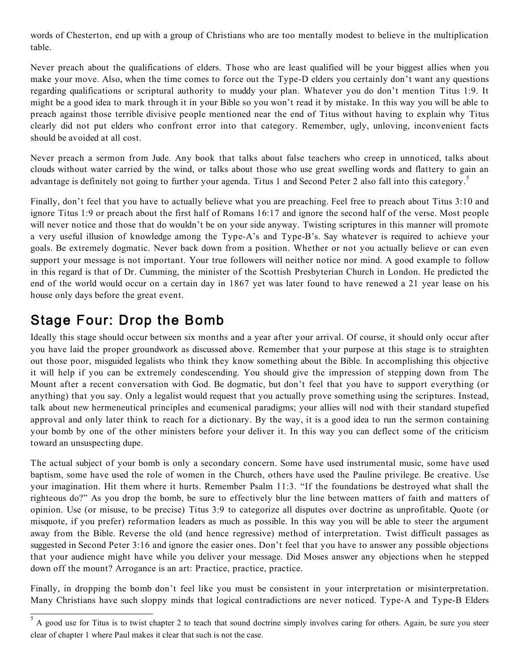words of Chesterton, end up with a group of Christians who are too mentally modest to believe in the multiplication table.

Never preach about the qualifications of elders. Those who are least qualified will be your biggest allies when you make your move. Also, when the time comes to force out the Type-D elders you certainly don't want any questions regarding qualifications or scriptural authority to muddy your plan. Whatever you do don't mention Titus 1:9. It might be a good idea to mark through it in your Bible so you won't read it by mistake. In this way you will be able to preach against those terrible divisive people mentioned near the end of Titus without having to explain why Titus clearly did not put elders who confront error into that category. Remember, ugly, unloving, inconvenient facts should be avoided at all cost.

Never preach a sermon from Jude. Any book that talks about false teachers who creep in unnoticed, talks about clouds without water carried by the wind, or talks about those who use great swelling words and flattery to gain an advantage is definitely not going to further your agenda. Titus 1 and Second Peter 2 also fall into this category.<sup>5</sup>

Finally, don't feel that you have to actually believe what you are preaching. Feel free to preach about Titus 3:10 and ignore Titus 1:9 or preach about the first half of Romans 16:17 and ignore the second half of the verse. Most people will never notice and those that do wouldn't be on your side anyway. Twisting scriptures in this manner will promote a very useful illusion of knowledge among the Type-A's and Type-B's. Say whatever is required to achieve your goals. Be extremely dogmatic. Never back down from a position. Whether or not you actually believe or can even support your message is not important. Your true followers will neither notice nor mind. A good example to follow in this regard is that of Dr. Cumming, the minister of the Scottish Presbyterian Church in London. He predicted the end of the world would occur on a certain day in 1867 yet was later found to have renewed a 21 year lease on his house only days before the great event.

### Stage Four: Drop the Bomb

Ideally this stage should occur between six months and a year after your arrival. Of course, it should only occur after you have laid the proper groundwork as discussed above. Remember that your purpose at this stage is to straighten out those poor, misguided legalists who think they know something about the Bible. In accomplishing this objective it will help if you can be extremely condescending. You should give the impression of stepping down from The Mount after a recent conversation with God. Be dogmatic, but don't feel that you have to support everything (or anything) that you say. Only a legalist would request that you actually prove something using the scriptures. Instead, talk about new hermeneutical principles and ecumenical paradigms; your allies will nod with their standard stupefied approval and only later think to reach for a dictionary. By the way, it is a good idea to run the sermon containing your bomb by one of the other ministers before your deliver it. In this way you can deflect some of the criticism toward an unsuspecting dupe.

The actual subject of your bomb is only a secondary concern. Some have used instrumental music, some have used baptism, some have used the role of women in the Church, others have used the Pauline privilege. Be creative. Use your imagination. Hit them where it hurts. Remember Psalm 11:3. "If the foundations be destroyed what shall the righteous do?" As you drop the bomb, be sure to effectively blur the line between matters of faith and matters of opinion. Use (or misuse, to be precise) Titus 3:9 to categorize all disputes over doctrine as unprofitable. Quote (or misquote, if you prefer) reformation leaders as much as possible. In this way you will be able to steer the argument away from the Bible. Reverse the old (and hence regressive) method of interpretation. Twist difficult passages as suggested in Second Peter 3:16 and ignore the easier ones. Don't feel that you have to answer any possible objections that your audience might have while you deliver your message. Did Moses answer any objections when he stepped down off the mount? Arrogance is an art: Practice, practice, practice.

Finally, in dropping the bomb don't feel like you must be consistent in your interpretation or misinterpretation. Many Christians have such sloppy minds that logical contradictions are never noticed. Type-A and Type-B Elders

 $\overline{5}$  A good use for Titus is to twist chapter 2 to teach that sound doctrine simply involves caring for others. Again, be sure you steer clear of chapter 1 where Paul makes it clear that such is not the case.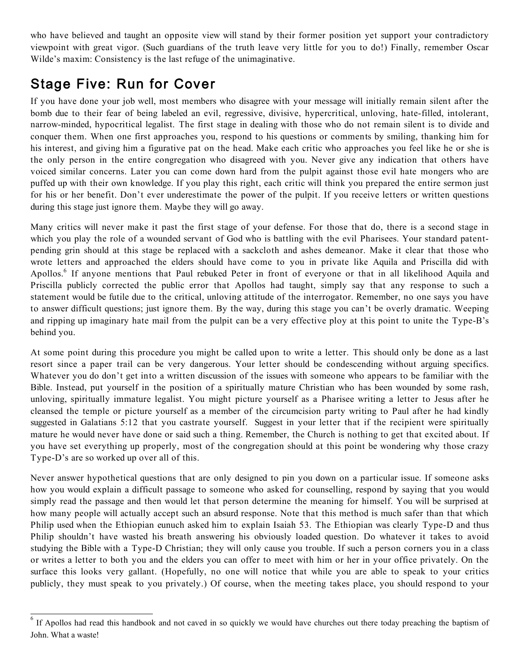who have believed and taught an opposite view will stand by their former position yet support your contradictory viewpoint with great vigor. (Such guardians of the truth leave very little for you to do!) Finally, remember Oscar Wilde's maxim: Consistency is the last refuge of the unimaginative.

## Stage Five: Run for Cover

If you have done your job well, most members who disagree with your message will initially remain silent after the bomb due to their fear of being labeled an evil, regressive, divisive, hypercritical, unloving, hate-filled, intolerant, narrow-minded, hypocritical legalist. The first stage in dealing with those who do not remain silent is to divide and conquer them. When one first approaches you, respond to his questions or comments by smiling, thanking him for his interest, and giving him a figurative pat on the head. Make each critic who approaches you feel like he or she is the only person in the entire congregation who disagreed with you. Never give any indication that others have voiced similar concerns. Later you can come down hard from the pulpit against those evil hate mongers who are puffed up with their own knowledge. If you play this right, each critic will think you prepared the entire sermon just for his or her benefit. Don't ever underestimate the power of the pulpit. If you receive letters or written questions during this stage just ignore them. Maybe they will go away.

Many critics will never make it past the first stage of your defense. For those that do, there is a second stage in which you play the role of a wounded servant of God who is battling with the evil Pharisees. Your standard patentpending grin should at this stage be replaced with a sackcloth and ashes demeanor. Make it clear that those who wrote letters and approached the elders should have come to you in private like Aquila and Priscilla did with Apollos.<sup>6</sup> If anyone mentions that Paul rebuked Peter in front of everyone or that in all likelihood Aquila and Priscilla publicly corrected the public error that Apollos had taught, simply say that any response to such a statement would be futile due to the critical, unloving attitude of the interrogator. Remember, no one says you have to answer difficult questions; just ignore them. By the way, during this stage you can't be overly dramatic. Weeping and ripping up imaginary hate mail from the pulpit can be a very effective ploy at this point to unite the Type-B's behind you.

At some point during this procedure you might be called upon to write a letter. This should only be done as a last resort since a paper trail can be very dangerous. Your letter should be condescending without arguing specifics. Whatever you do don't get into a written discussion of the issues with someone who appears to be familiar with the Bible. Instead, put yourself in the position of a spiritually mature Christian who has been wounded by some rash, unloving, spiritually immature legalist. You might picture yourself as a Pharisee writing a letter to Jesus after he cleansed the temple or picture yourself as a member of the circumcision party writing to Paul after he had kindly suggested in Galatians 5:12 that you castrate yourself. Suggest in your letter that if the recipient were spiritually mature he would never have done or said such a thing. Remember, the Church is nothing to get that excited about. If you have set everything up properly, most of the congregation should at this point be wondering why those crazy Type-D's are so worked up over all of this.

Never answer hypothetical questions that are only designed to pin you down on a particular issue. If someone asks how you would explain a difficult passage to someone who asked for counselling, respond by saying that you would simply read the passage and then would let that person determine the meaning for himself. You will be surprised at how many people will actually accept such an absurd response. Note that this method is much safer than that which Philip used when the Ethiopian eunuch asked him to explain Isaiah 53. The Ethiopian was clearly Type-D and thus Philip shouldn't have wasted his breath answering his obviously loaded question. Do whatever it takes to avoid studying the Bible with a Type-D Christian; they will only cause you trouble. If such a person corners you in a class or writes a letter to both you and the elders you can offer to meet with him or her in your office privately. On the surface this looks very gallant. (Hopefully, no one will notice that while you are able to speak to your critics publicly, they must speak to you privately.) Of course, when the meeting takes place, you should respond to your

<sup>&</sup>lt;sup>6</sup> If Apollos had read this handbook and not caved in so quickly we would have churches out there today preaching the baptism of John. What a waste!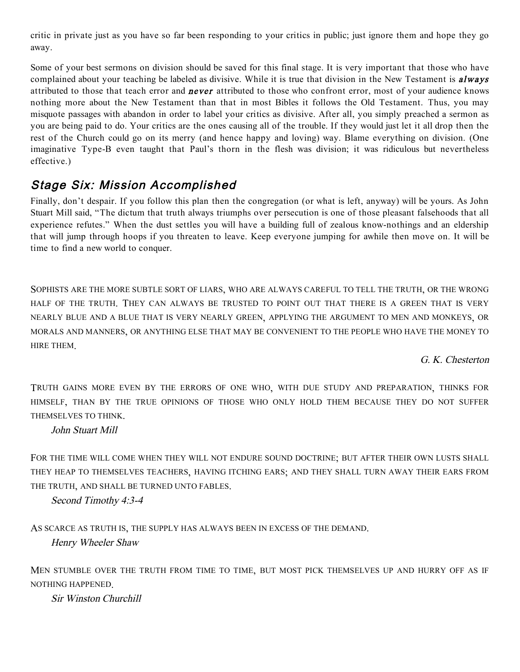critic in private just as you have so far been responding to your critics in public; just ignore them and hope they go away.

Some of your best sermons on division should be saved for this final stage. It is very important that those who have complained about your teaching be labeled as divisive. While it is true that division in the New Testament is *always* attributed to those that teach error and **never** attributed to those who confront error, most of your audience knows nothing more about the New Testament than that in most Bibles it follows the Old Testament. Thus, you may misquote passages with abandon in order to label your critics as divisive. After all, you simply preached a sermon as you are being paid to do. Your critics are the ones causing all of the trouble. If they would just let it all drop then the rest of the Church could go on its merry (and hence happy and loving) way. Blame everything on division. (One imaginative Type-B even taught that Paul's thorn in the flesh was division; it was ridiculous but nevertheless effective.)

#### Stage Six: Mission Accomplished

Finally, don't despair. If you follow this plan then the congregation (or what is left, anyway) will be yours. As John Stuart Mill said, "The dictum that truth always triumphs over persecution is one of those pleasant falsehoods that all experience refutes." When the dust settles you will have a building full of zealous know-nothings and an eldership that will jump through hoops if you threaten to leave. Keep everyone jumping for awhile then move on. It will be time to find a new world to conquer.

SOPHISTS ARE THE MORE SUBTLE SORT OF LIARS, WHO ARE ALWAYS CAREFUL TO TELL THE TRUTH, OR THE WRONG HALF OF THE TRUTH. THEY CAN ALWAYS BE TRUSTED TO POINT OUT THAT THERE IS A GREEN THAT IS VERY NEARLY BLUE AND A BLUE THAT IS VERY NEARLY GREEN, APPLYING THE ARGUMENT TO MEN AND MONKEYS, OR MORALS AND MANNERS, OR ANYTHING ELSE THAT MAY BE CONVENIENT TO THE PEOPLE WHO HAVE THE MONEY TO HIRE THEM.

G. K. Chesterton

TRUTH GAINS MORE EVEN BY THE ERRORS OF ONE WHO, WITH DUE STUDY AND PREPARATION, THINKS FOR HIMSELF, THAN BY THE TRUE OPINIONS OF THOSE WHO ONLY HOLD THEM BECAUSE THEY DO NOT SUFFER THEMSELVES TO THINK.

John Stuart Mill

FOR THE TIME WILL COME WHEN THEY WILL NOT ENDURE SOUND DOCTRINE; BUT AFTER THEIR OWN LUSTS SHALL THEY HEAP TO THEMSELVES TEACHERS, HAVING ITCHING EARS; AND THEY SHALL TURN AWAY THEIR EARS FROM THE TRUTH, AND SHALL BE TURNED UNTO FABLES.

Second Timothy 4:3-4

AS SCARCE AS TRUTH IS, THE SUPPLY HAS ALWAYS BEEN IN EXCESS OF THE DEMAND. Henry Wheeler Shaw

MEN STUMBLE OVER THE TRUTH FROM TIME TO TIME, BUT MOST PICK THEMSELVES UP AND HURRY OFF AS IF NOTHING HAPPENED.

Sir Winston Churchill